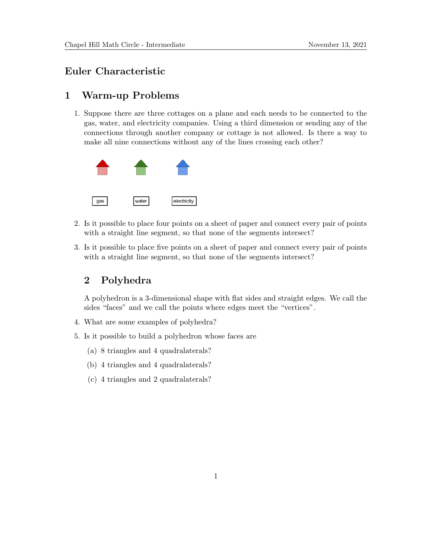## Euler Characteristic

## 1 Warm-up Problems

1. Suppose there are three cottages on a plane and each needs to be connected to the gas, water, and electricity companies. Using a third dimension or sending any of the connections through another company or cottage is not allowed. Is there a way to make all nine connections without any of the lines crossing each other?



- 2. Is it possible to place four points on a sheet of paper and connect every pair of points with a straight line segment, so that none of the segments intersect?
- 3. Is it possible to place five points on a sheet of paper and connect every pair of points with a straight line segment, so that none of the segments intersect?

## 2 Polyhedra

A polyhedron is a 3-dimensional shape with flat sides and straight edges. We call the sides "faces" and we call the points where edges meet the "vertices".

- 4. What are some examples of polyhedra?
- 5. Is it possible to build a polyhedron whose faces are
	- (a) 8 triangles and 4 quadralaterals?
	- (b) 4 triangles and 4 quadralaterals?
	- (c) 4 triangles and 2 quadralaterals?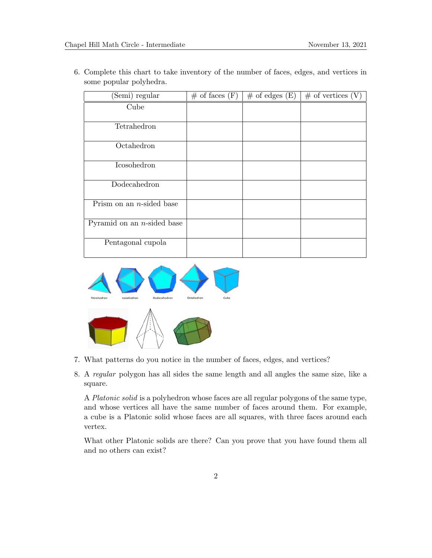6. Complete this chart to take inventory of the number of faces, edges, and vertices in some popular polyhedra.

| (Semi) regular                | $\#$ of faces $(F)$ | $\#$ of edges $(E)$ | $\#$ of vertices (V) |
|-------------------------------|---------------------|---------------------|----------------------|
| Cube                          |                     |                     |                      |
|                               |                     |                     |                      |
| Tetrahedron                   |                     |                     |                      |
| Octahedron                    |                     |                     |                      |
| Icosohedron                   |                     |                     |                      |
| Dodecahedron                  |                     |                     |                      |
| Prism on an $n$ -sided base   |                     |                     |                      |
| Pyramid on an $n$ -sided base |                     |                     |                      |
| Pentagonal cupola             |                     |                     |                      |



- 7. What patterns do you notice in the number of faces, edges, and vertices?
- 8. A regular polygon has all sides the same length and all angles the same size, like a square.

A Platonic solid is a polyhedron whose faces are all regular polygons of the same type, and whose vertices all have the same number of faces around them. For example, a cube is a Platonic solid whose faces are all squares, with three faces around each vertex.

What other Platonic solids are there? Can you prove that you have found them all and no others can exist?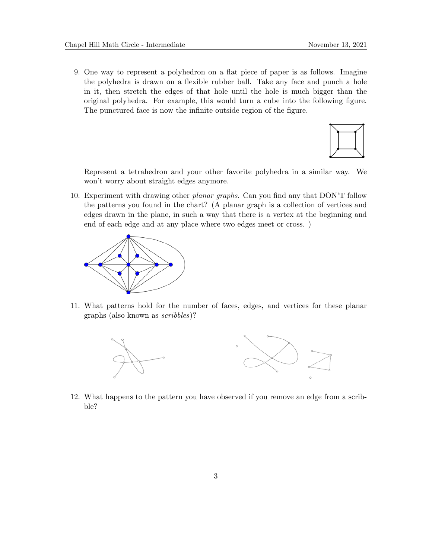9. One way to represent a polyhedron on a flat piece of paper is as follows. Imagine the polyhedra is drawn on a flexible rubber ball. Take any face and punch a hole in it, then stretch the edges of that hole until the hole is much bigger than the original polyhedra. For example, this would turn a cube into the following figure. The punctured face is now the infinite outside region of the figure.



Represent a tetrahedron and your other favorite polyhedra in a similar way. We won't worry about straight edges anymore.

10. Experiment with drawing other planar graphs. Can you find any that DON'T follow the patterns you found in the chart? (A planar graph is a collection of vertices and edges drawn in the plane, in such a way that there is a vertex at the beginning and end of each edge and at any place where two edges meet or cross. )



11. What patterns hold for the number of faces, edges, and vertices for these planar graphs (also known as scribbles)?



12. What happens to the pattern you have observed if you remove an edge from a scribble?